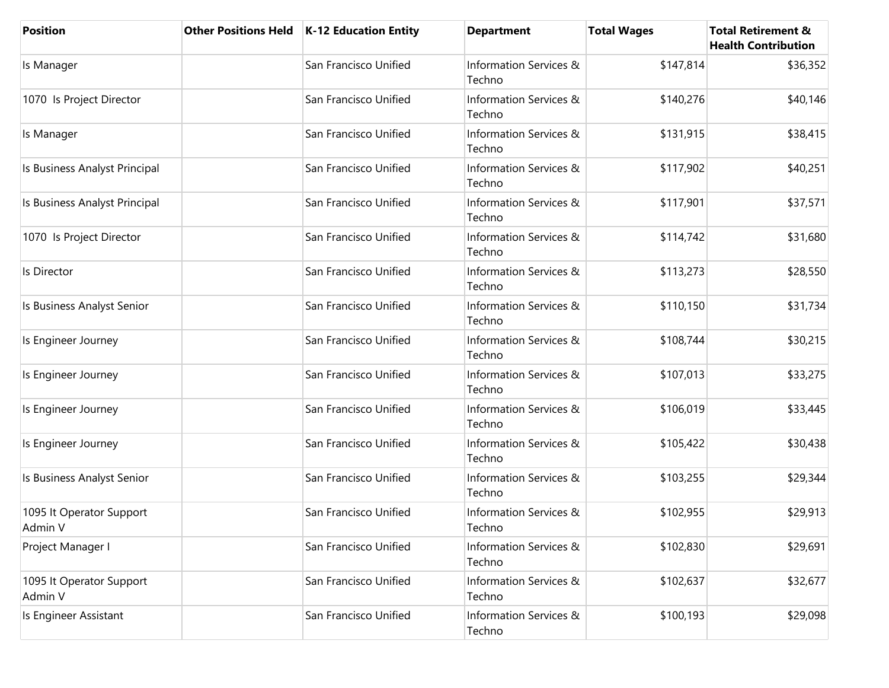| <b>Position</b>                     | <b>Other Positions Held</b> | K-12 Education Entity | <b>Department</b>                | <b>Total Wages</b> | <b>Total Retirement &amp;</b><br><b>Health Contribution</b> |
|-------------------------------------|-----------------------------|-----------------------|----------------------------------|--------------------|-------------------------------------------------------------|
| Is Manager                          |                             | San Francisco Unified | Information Services &<br>Techno | \$147,814          | \$36,352                                                    |
| 1070 Is Project Director            |                             | San Francisco Unified | Information Services &<br>Techno | \$140,276          | \$40,146                                                    |
| Is Manager                          |                             | San Francisco Unified | Information Services &<br>Techno | \$131,915          | \$38,415                                                    |
| Is Business Analyst Principal       |                             | San Francisco Unified | Information Services &<br>Techno | \$117,902          | \$40,251                                                    |
| Is Business Analyst Principal       |                             | San Francisco Unified | Information Services &<br>Techno | \$117,901          | \$37,571                                                    |
| 1070 Is Project Director            |                             | San Francisco Unified | Information Services &<br>Techno | \$114,742          | \$31,680                                                    |
| Is Director                         |                             | San Francisco Unified | Information Services &<br>Techno | \$113,273          | \$28,550                                                    |
| Is Business Analyst Senior          |                             | San Francisco Unified | Information Services &<br>Techno | \$110,150          | \$31,734                                                    |
| Is Engineer Journey                 |                             | San Francisco Unified | Information Services &<br>Techno | \$108,744          | \$30,215                                                    |
| Is Engineer Journey                 |                             | San Francisco Unified | Information Services &<br>Techno | \$107,013          | \$33,275                                                    |
| Is Engineer Journey                 |                             | San Francisco Unified | Information Services &<br>Techno | \$106,019          | \$33,445                                                    |
| Is Engineer Journey                 |                             | San Francisco Unified | Information Services &<br>Techno | \$105,422          | \$30,438                                                    |
| Is Business Analyst Senior          |                             | San Francisco Unified | Information Services &<br>Techno | \$103,255          | \$29,344                                                    |
| 1095 It Operator Support<br>Admin V |                             | San Francisco Unified | Information Services &<br>Techno | \$102,955          | \$29,913                                                    |
| Project Manager I                   |                             | San Francisco Unified | Information Services &<br>Techno | \$102,830          | \$29,691                                                    |
| 1095 It Operator Support<br>Admin V |                             | San Francisco Unified | Information Services &<br>Techno | \$102,637          | \$32,677                                                    |
| Is Engineer Assistant               |                             | San Francisco Unified | Information Services &<br>Techno | \$100,193          | \$29,098                                                    |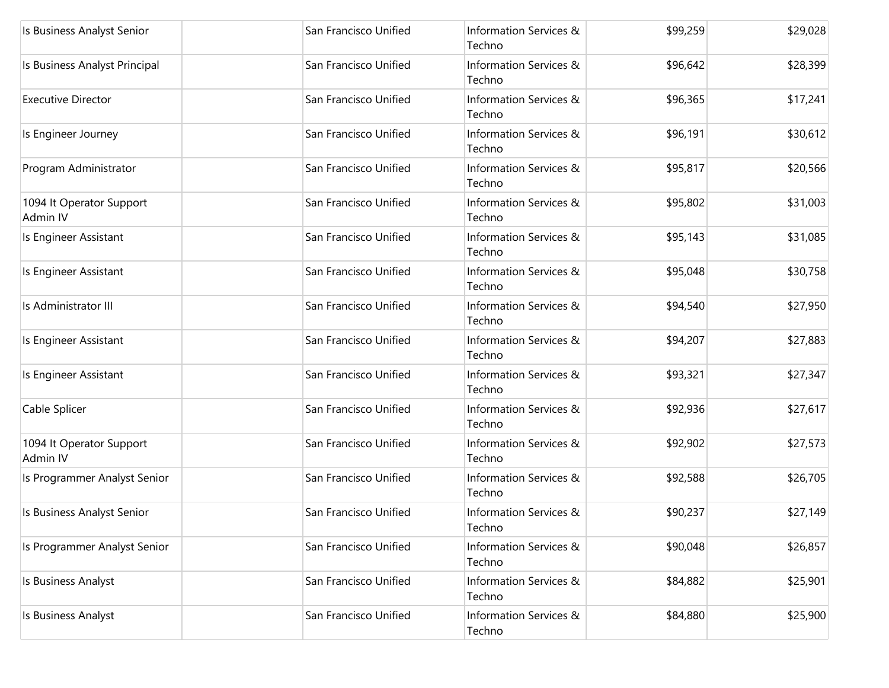| Is Business Analyst Senior           | San Francisco Unified | Information Services &<br>Techno | \$99,259 | \$29,028 |
|--------------------------------------|-----------------------|----------------------------------|----------|----------|
| Is Business Analyst Principal        | San Francisco Unified | Information Services &<br>Techno | \$96,642 | \$28,399 |
| <b>Executive Director</b>            | San Francisco Unified | Information Services &<br>Techno | \$96,365 | \$17,241 |
| Is Engineer Journey                  | San Francisco Unified | Information Services &<br>Techno | \$96,191 | \$30,612 |
| Program Administrator                | San Francisco Unified | Information Services &<br>Techno | \$95,817 | \$20,566 |
| 1094 It Operator Support<br>Admin IV | San Francisco Unified | Information Services &<br>Techno | \$95,802 | \$31,003 |
| Is Engineer Assistant                | San Francisco Unified | Information Services &<br>Techno | \$95,143 | \$31,085 |
| Is Engineer Assistant                | San Francisco Unified | Information Services &<br>Techno | \$95,048 | \$30,758 |
| Is Administrator III                 | San Francisco Unified | Information Services &<br>Techno | \$94,540 | \$27,950 |
| Is Engineer Assistant                | San Francisco Unified | Information Services &<br>Techno | \$94,207 | \$27,883 |
| Is Engineer Assistant                | San Francisco Unified | Information Services &<br>Techno | \$93,321 | \$27,347 |
| Cable Splicer                        | San Francisco Unified | Information Services &<br>Techno | \$92,936 | \$27,617 |
| 1094 It Operator Support<br>Admin IV | San Francisco Unified | Information Services &<br>Techno | \$92,902 | \$27,573 |
| Is Programmer Analyst Senior         | San Francisco Unified | Information Services &<br>Techno | \$92,588 | \$26,705 |
| Is Business Analyst Senior           | San Francisco Unified | Information Services &<br>Techno | \$90,237 | \$27,149 |
| Is Programmer Analyst Senior         | San Francisco Unified | Information Services &<br>Techno | \$90,048 | \$26,857 |
| Is Business Analyst                  | San Francisco Unified | Information Services &<br>Techno | \$84,882 | \$25,901 |
| Is Business Analyst                  | San Francisco Unified | Information Services &<br>Techno | \$84,880 | \$25,900 |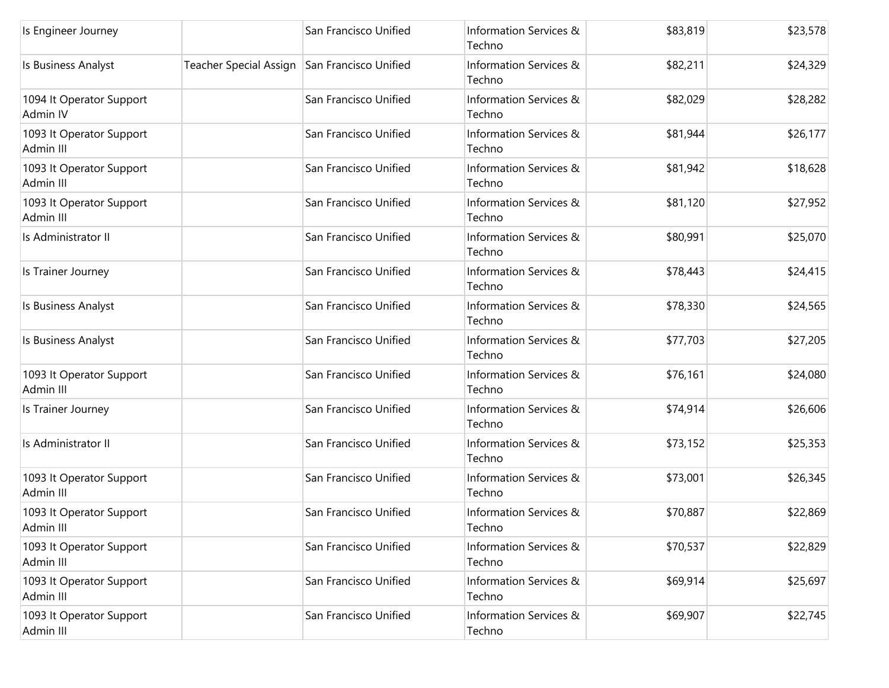| Is Engineer Journey                   |                                              | San Francisco Unified | Information Services &<br>Techno | \$83,819 | \$23,578 |
|---------------------------------------|----------------------------------------------|-----------------------|----------------------------------|----------|----------|
| Is Business Analyst                   | Teacher Special Assign San Francisco Unified |                       | Information Services &<br>Techno | \$82,211 | \$24,329 |
| 1094 It Operator Support<br>Admin IV  |                                              | San Francisco Unified | Information Services &<br>Techno | \$82,029 | \$28,282 |
| 1093 It Operator Support<br>Admin III |                                              | San Francisco Unified | Information Services &<br>Techno | \$81,944 | \$26,177 |
| 1093 It Operator Support<br>Admin III |                                              | San Francisco Unified | Information Services &<br>Techno | \$81,942 | \$18,628 |
| 1093 It Operator Support<br>Admin III |                                              | San Francisco Unified | Information Services &<br>Techno | \$81,120 | \$27,952 |
| Is Administrator II                   |                                              | San Francisco Unified | Information Services &<br>Techno | \$80,991 | \$25,070 |
| Is Trainer Journey                    |                                              | San Francisco Unified | Information Services &<br>Techno | \$78,443 | \$24,415 |
| Is Business Analyst                   |                                              | San Francisco Unified | Information Services &<br>Techno | \$78,330 | \$24,565 |
| Is Business Analyst                   |                                              | San Francisco Unified | Information Services &<br>Techno | \$77,703 | \$27,205 |
| 1093 It Operator Support<br>Admin III |                                              | San Francisco Unified | Information Services &<br>Techno | \$76,161 | \$24,080 |
| Is Trainer Journey                    |                                              | San Francisco Unified | Information Services &<br>Techno | \$74,914 | \$26,606 |
| Is Administrator II                   |                                              | San Francisco Unified | Information Services &<br>Techno | \$73,152 | \$25,353 |
| 1093 It Operator Support<br>Admin III |                                              | San Francisco Unified | Information Services &<br>Techno | \$73,001 | \$26,345 |
| 1093 It Operator Support<br>Admin III |                                              | San Francisco Unified | Information Services &<br>Techno | \$70,887 | \$22,869 |
| 1093 It Operator Support<br>Admin III |                                              | San Francisco Unified | Information Services &<br>Techno | \$70,537 | \$22,829 |
| 1093 It Operator Support<br>Admin III |                                              | San Francisco Unified | Information Services &<br>Techno | \$69,914 | \$25,697 |
| 1093 It Operator Support<br>Admin III |                                              | San Francisco Unified | Information Services &<br>Techno | \$69,907 | \$22,745 |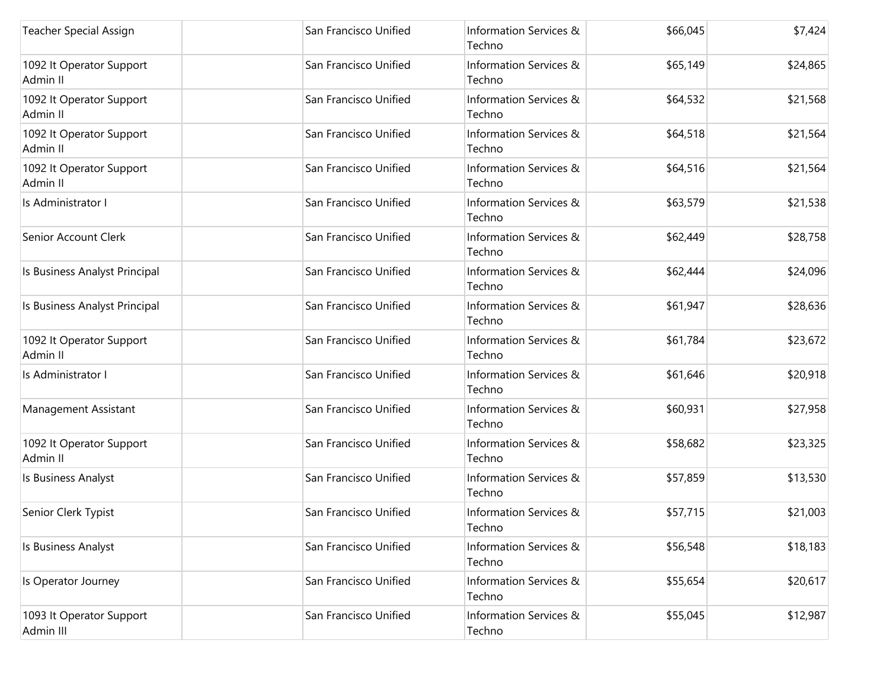| Teacher Special Assign                | San Francisco Unified | Information Services &<br>Techno | \$66,045 | \$7,424  |
|---------------------------------------|-----------------------|----------------------------------|----------|----------|
| 1092 It Operator Support<br>Admin II  | San Francisco Unified | Information Services &<br>Techno | \$65,149 | \$24,865 |
| 1092 It Operator Support<br>Admin II  | San Francisco Unified | Information Services &<br>Techno | \$64,532 | \$21,568 |
| 1092 It Operator Support<br>Admin II  | San Francisco Unified | Information Services &<br>Techno | \$64,518 | \$21,564 |
| 1092 It Operator Support<br>Admin II  | San Francisco Unified | Information Services &<br>Techno | \$64,516 | \$21,564 |
| Is Administrator I                    | San Francisco Unified | Information Services &<br>Techno | \$63,579 | \$21,538 |
| Senior Account Clerk                  | San Francisco Unified | Information Services &<br>Techno | \$62,449 | \$28,758 |
| Is Business Analyst Principal         | San Francisco Unified | Information Services &<br>Techno | \$62,444 | \$24,096 |
| Is Business Analyst Principal         | San Francisco Unified | Information Services &<br>Techno | \$61,947 | \$28,636 |
| 1092 It Operator Support<br>Admin II  | San Francisco Unified | Information Services &<br>Techno | \$61,784 | \$23,672 |
| Is Administrator I                    | San Francisco Unified | Information Services &<br>Techno | \$61,646 | \$20,918 |
| Management Assistant                  | San Francisco Unified | Information Services &<br>Techno | \$60,931 | \$27,958 |
| 1092 It Operator Support<br>Admin II  | San Francisco Unified | Information Services &<br>Techno | \$58,682 | \$23,325 |
| Is Business Analyst                   | San Francisco Unified | Information Services &<br>Techno | \$57,859 | \$13,530 |
| Senior Clerk Typist                   | San Francisco Unified | Information Services &<br>Techno | \$57,715 | \$21,003 |
| Is Business Analyst                   | San Francisco Unified | Information Services &<br>Techno | \$56,548 | \$18,183 |
| Is Operator Journey                   | San Francisco Unified | Information Services &<br>Techno | \$55,654 | \$20,617 |
| 1093 It Operator Support<br>Admin III | San Francisco Unified | Information Services &<br>Techno | \$55,045 | \$12,987 |